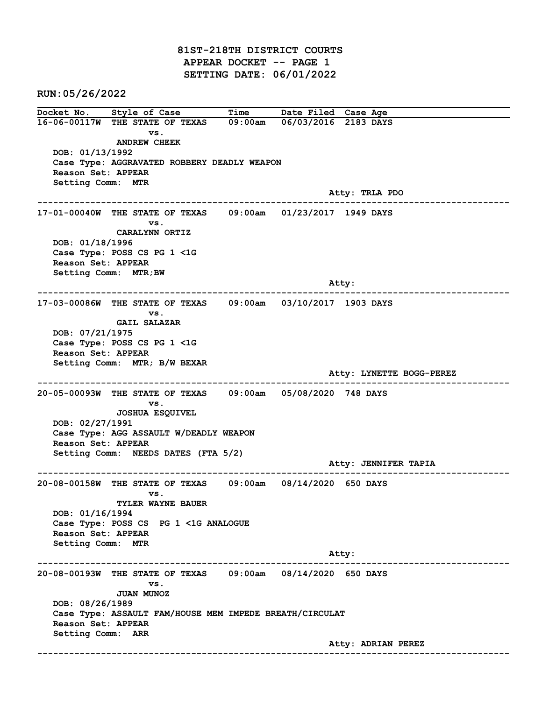81ST-218TH DISTRICT COURTS APPEAR DOCKET -- PAGE 1 SETTING DATE: 06/01/2022

RUN:05/26/2022

Docket No. Style of Case Time Date Filed Case Age 16-06-00117W THE STATE OF TEXAS 09:00am 06/03/2016 2183 DAYS vs. ANDREW CHEEK DOB: 01/13/1992 Case Type: AGGRAVATED ROBBERY DEADLY WEAPON Reason Set: APPEAR Setting Comm: MTR Atty: TRLA PDO ------------------------------------------------------------------------------------------------------------------------ 17-01-00040W THE STATE OF TEXAS 09:00am 01/23/2017 1949 DAYS vs. CARALYNN ORTIZ DOB: 01/18/1996 Case Type: POSS CS PG 1 <1G Reason Set: APPEAR Setting Comm: MTR;BW example of the state of the state of the state of the state of the state of the state of the state of the state of the state of the state of the state of the state of the state of the state of the state of the state of the ------------------------------------------------------------------------------------------------------------------------ 17-03-00086W THE STATE OF TEXAS 09:00am 03/10/2017 1903 DAYS vs. GAIL SALAZAR DOB: 07/21/1975 Case Type: POSS CS PG 1 <1G Reason Set: APPEAR Setting Comm: MTR; B/W BEXAR Atty: LYNETTE BOGG-PEREZ ------------------------------------------------------------------------------------------------------------------------ 20-05-00093W THE STATE OF TEXAS 09:00am 05/08/2020 748 DAYS vs. JOSHUA ESQUIVEL DOB: 02/27/1991 Case Type: AGG ASSAULT W/DEADLY WEAPON Reason Set: APPEAR Setting Comm: NEEDS DATES (FTA 5/2) Atty: JENNIFER TAPIA ------------------------------------------------------------------------------------------------------------------------ 20-08-00158W THE STATE OF TEXAS 09:00am 08/14/2020 650 DAYS vs. TYLER WAYNE BAUER DOB: 01/16/1994 Case Type: POSS CS PG 1 <1G ANALOGUE Reason Set: APPEAR Setting Comm: MTR Atty: ------------------------------------------------------------------------------------------------------------------------ 20-08-00193W THE STATE OF TEXAS 09:00am 08/14/2020 650 DAYS vs. JUAN MUNOZ DOB: 08/26/1989 Case Type: ASSAULT FAM/HOUSE MEM IMPEDE BREATH/CIRCULAT Reason Set: APPEAR Setting Comm: ARR Atty: ADRIAN PEREZ ------------------------------------------------------------------------------------------------------------------------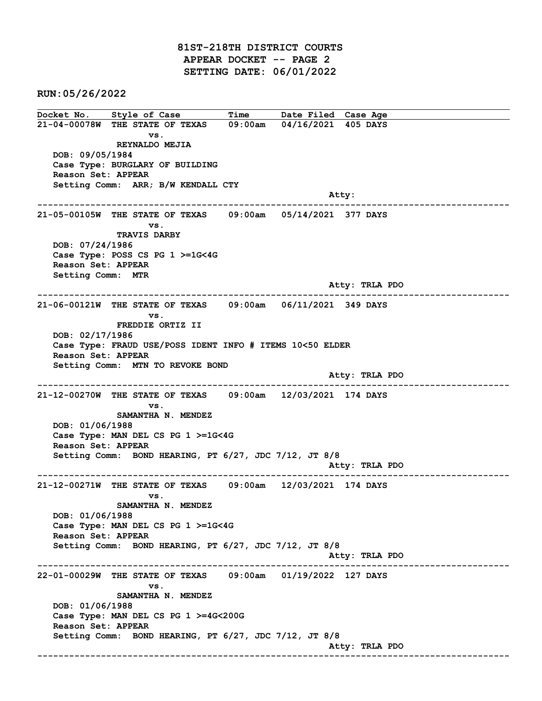81ST-218TH DISTRICT COURTS APPEAR DOCKET -- PAGE 2 SETTING DATE: 06/01/2022

RUN:05/26/2022

Docket No. Style of Case Time Date Filed Case Age 21-04-00078W THE STATE OF TEXAS 09:00am 04/16/2021 405 DAYS vs. REYNALDO MEJIA DOB: 09/05/1984 Case Type: BURGLARY OF BUILDING Reason Set: APPEAR Setting Comm: ARR; B/W KENDALL CTY and the control of the control of the control of the control of the control of the control of the control of the control of the control of the control of the control of the control of the control of the control of the cont ------------------------------------------------------------------------------------------------------------------------ 21-05-00105W THE STATE OF TEXAS 09:00am 05/14/2021 377 DAYS vs. TRAVIS DARBY DOB: 07/24/1986 Case Type: POSS CS PG 1 >=1G<4G Reason Set: APPEAR Setting Comm: MTR Atty: TRLA PDO ------------------------------------------------------------------------------------------------------------------------ 21-06-00121W THE STATE OF TEXAS 09:00am 06/11/2021 349 DAYS vs. FREDDIE ORTIZ II DOB: 02/17/1986 Case Type: FRAUD USE/POSS IDENT INFO # ITEMS 10<50 ELDER Reason Set: APPEAR Setting Comm: MTN TO REVOKE BOND Atty: TRLA PDO ------------------------------------------------------------------------------------------------------------------------ 21-12-00270W THE STATE OF TEXAS 09:00am 12/03/2021 174 DAYS vs. SAMANTHA N. MENDEZ DOB: 01/06/1988 Case Type: MAN DEL CS PG 1 >=1G<4G Reason Set: APPEAR Setting Comm: BOND HEARING, PT 6/27, JDC 7/12, JT 8/8 Atty: TRLA PDO ------------------------------------------------------------------------------------------------------------------------ 21-12-00271W THE STATE OF TEXAS 09:00am 12/03/2021 174 DAYS vs. SAMANTHA N. MENDEZ DOB: 01/06/1988 Case Type: MAN DEL CS PG 1 >=1G<4G Reason Set: APPEAR Setting Comm: BOND HEARING, PT 6/27, JDC 7/12, JT 8/8 Atty: TRLA PDO ------------------------------------------------------------------------------------------------------------------------ 22-01-00029W THE STATE OF TEXAS 09:00am 01/19/2022 127 DAYS vs. SAMANTHA N. MENDEZ DOB: 01/06/1988 Case Type: MAN DEL CS PG 1 >=4G<200G Reason Set: APPEAR Setting Comm: BOND HEARING, PT 6/27, JDC 7/12, JT 8/8 Atty: TRLA PDO ------------------------------------------------------------------------------------------------------------------------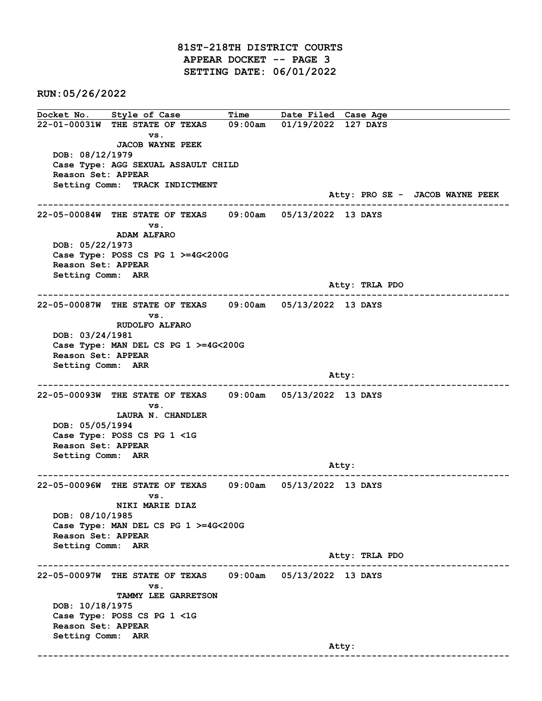81ST-218TH DISTRICT COURTS APPEAR DOCKET -- PAGE 3 SETTING DATE: 06/01/2022

RUN:05/26/2022

Docket No. Style of Case Time Date Filed Case Age 22-01-00031W THE STATE OF TEXAS 09:00am 01/19/2022 127 DAYS vs. JACOB WAYNE PEEK DOB: 08/12/1979 Case Type: AGG SEXUAL ASSAULT CHILD Reason Set: APPEAR Setting Comm: TRACK INDICTMENT Atty: PRO SE - JACOB WAYNE PEEK ------------------------------------------------------------------------------------------------------------------------ 22-05-00084W THE STATE OF TEXAS 09:00am 05/13/2022 13 DAYS vs. ADAM ALFARO DOB: 05/22/1973 Case Type: POSS CS PG 1 >=4G<200G Reason Set: APPEAR Setting Comm: ARR Atty: TRLA PDO ------------------------------------------------------------------------------------------------------------------------ 22-05-00087W THE STATE OF TEXAS 09:00am 05/13/2022 13 DAYS vs. RUDOLFO ALFARO DOB: 03/24/1981 Case Type: MAN DEL CS PG 1 >=4G<200G Reason Set: APPEAR Setting Comm: ARR and the control of the control of the control of the control of the control of the control of the control of the control of the control of the control of the control of the control of the control of the control of the cont ------------------------------------------------------------------------------------------------------------------------ 22-05-00093W THE STATE OF TEXAS 09:00am 05/13/2022 13 DAYS vs. LAURA N. CHANDLER DOB: 05/05/1994 Case Type: POSS CS PG 1 <1G Reason Set: APPEAR Setting Comm: ARR Atty: ------------------------------------------------------------------------------------------------------------------------ 22-05-00096W THE STATE OF TEXAS 09:00am 05/13/2022 13 DAYS vs. NIKI MARIE DIAZ DOB: 08/10/1985 Case Type: MAN DEL CS PG 1 >=4G<200G Reason Set: APPEAR Setting Comm: ARR Atty: TRLA PDO ------------------------------------------------------------------------------------------------------------------------ 22-05-00097W THE STATE OF TEXAS 09:00am 05/13/2022 13 DAYS vs. TAMMY LEE GARRETSON DOB: 10/18/1975 Case Type: POSS CS PG 1 <1G Reason Set: APPEAR Setting Comm: ARR and the control of the control of the control of the control of the control of the control of the control of the control of the control of the control of the control of the control of the control of the control of the cont ------------------------------------------------------------------------------------------------------------------------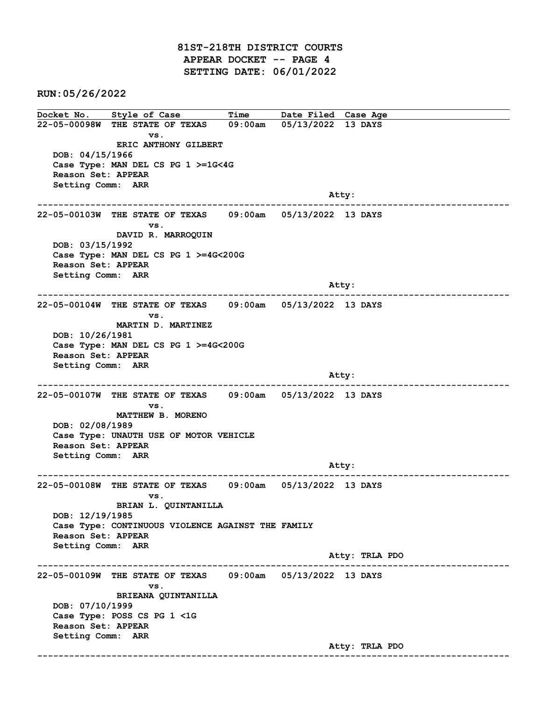81ST-218TH DISTRICT COURTS APPEAR DOCKET -- PAGE 4 SETTING DATE: 06/01/2022

RUN:05/26/2022

Docket No. Style of Case Time Date Filed Case Age 22-05-00098W THE STATE OF TEXAS 09:00am 05/13/2022 13 DAYS vs. ERIC ANTHONY GILBERT DOB: 04/15/1966 Case Type: MAN DEL CS PG 1 >=1G<4G Reason Set: APPEAR Setting Comm: ARR and the control of the control of the control of the control of the control of the control of the control of the control of the control of the control of the control of the control of the control of the control of the cont ------------------------------------------------------------------------------------------------------------------------ 22-05-00103W THE STATE OF TEXAS 09:00am 05/13/2022 13 DAYS vs. DAVID R. MARROQUIN DOB: 03/15/1992 Case Type: MAN DEL CS PG 1 >=4G<200G Reason Set: APPEAR Setting Comm: ARR and the control of the control of the control of the control of the control of the control of the control of the control of the control of the control of the control of the control of the control of the control of the cont ------------------------------------------------------------------------------------------------------------------------ 22-05-00104W THE STATE OF TEXAS 09:00am 05/13/2022 13 DAYS vs. MARTIN D. MARTINEZ DOB: 10/26/1981 Case Type: MAN DEL CS PG 1 >=4G<200G Reason Set: APPEAR Setting Comm: ARR and the control of the control of the control of the control of the control of the control of the control of the control of the control of the control of the control of the control of the control of the control of the cont ------------------------------------------------------------------------------------------------------------------------ 22-05-00107W THE STATE OF TEXAS 09:00am 05/13/2022 13 DAYS vs. MATTHEW B. MORENO DOB: 02/08/1989 Case Type: UNAUTH USE OF MOTOR VEHICLE Reason Set: APPEAR Setting Comm: ARR Atty: ------------------------------------------------------------------------------------------------------------------------ 22-05-00108W THE STATE OF TEXAS 09:00am 05/13/2022 13 DAYS vs. BRIAN L. QUINTANILLA DOB: 12/19/1985 Case Type: CONTINUOUS VIOLENCE AGAINST THE FAMILY Reason Set: APPEAR Setting Comm: ARR Atty: TRLA PDO ------------------------------------------------------------------------------------------------------------------------ 22-05-00109W THE STATE OF TEXAS 09:00am 05/13/2022 13 DAYS vs. BRIEANA QUINTANILLA DOB: 07/10/1999 Case Type: POSS CS PG 1 <1G Reason Set: APPEAR Setting Comm: ARR Atty: TRLA PDO ------------------------------------------------------------------------------------------------------------------------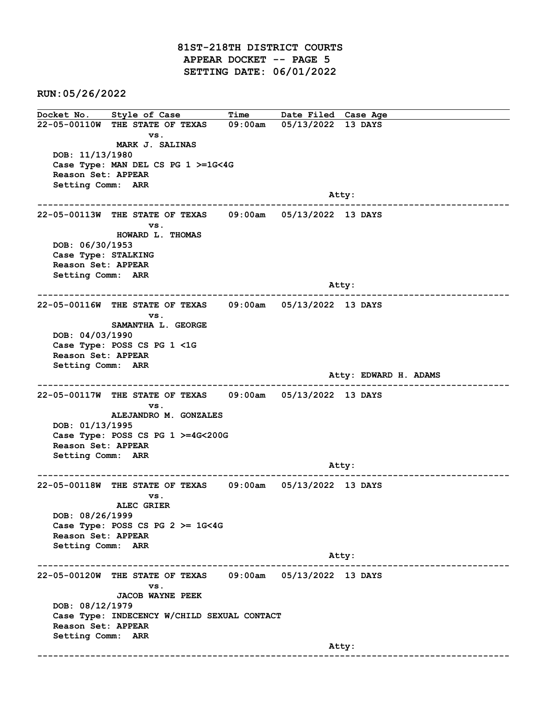81ST-218TH DISTRICT COURTS APPEAR DOCKET -- PAGE 5 SETTING DATE: 06/01/2022

RUN:05/26/2022

Docket No. Style of Case Time Date Filed Case Age 22-05-00110W THE STATE OF TEXAS 09:00am 05/13/2022 13 DAYS vs. MARK J. SALINAS DOB: 11/13/1980 Case Type: MAN DEL CS PG 1 >=1G<4G Reason Set: APPEAR Setting Comm: ARR and the control of the control of the control of the control of the control of the control of the control of the control of the control of the control of the control of the control of the control of the control of the cont ------------------------------------------------------------------------------------------------------------------------ 22-05-00113W THE STATE OF TEXAS 09:00am 05/13/2022 13 DAYS vs. HOWARD L. THOMAS DOB: 06/30/1953 Case Type: STALKING Reason Set: APPEAR Setting Comm: ARR and the control of the control of the control of the control of the control of the control of the control of the control of the control of the control of the control of the control of the control of the control of the cont ------------------------------------------------------------------------------------------------------------------------ 22-05-00116W THE STATE OF TEXAS 09:00am 05/13/2022 13 DAYS vs. SAMANTHA L. GEORGE DOB: 04/03/1990 Case Type: POSS CS PG 1 <1G Reason Set: APPEAR Setting Comm: ARR Atty: EDWARD H. ADAMS ------------------------------------------------------------------------------------------------------------------------ 22-05-00117W THE STATE OF TEXAS 09:00am 05/13/2022 13 DAYS vs. ALEJANDRO M. GONZALES DOB: 01/13/1995 Case Type: POSS CS PG 1 >=4G<200G Reason Set: APPEAR Setting Comm: ARR Atty: ------------------------------------------------------------------------------------------------------------------------ 22-05-00118W THE STATE OF TEXAS 09:00am 05/13/2022 13 DAYS vs. ALEC GRIER DOB: 08/26/1999 Case Type: POSS CS PG  $2 \ge 1$ G<4G Reason Set: APPEAR Setting Comm: ARR Atty: ------------------------------------------------------------------------------------------------------------------------ 22-05-00120W THE STATE OF TEXAS 09:00am 05/13/2022 13 DAYS vs. JACOB WAYNE PEEK DOB: 08/12/1979 Case Type: INDECENCY W/CHILD SEXUAL CONTACT Reason Set: APPEAR Setting Comm: ARR and the control of the control of the control of the control of the control of the control of the control of the control of the control of the control of the control of the control of the control of the control of the cont ------------------------------------------------------------------------------------------------------------------------